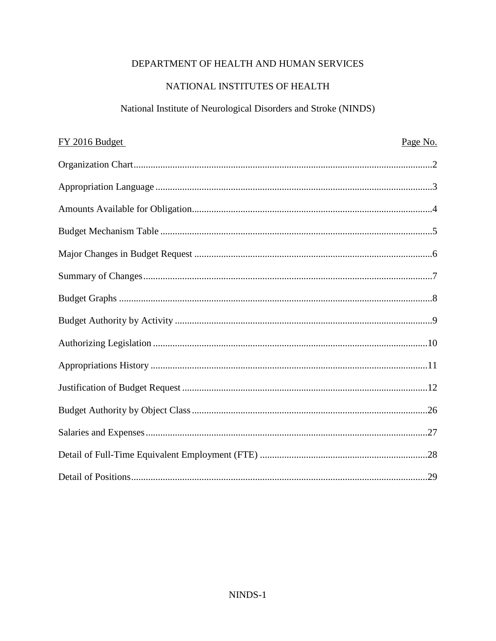# DEPARTMENT OF HEALTH AND HUMAN SERVICES

# NATIONAL INSTITUTES OF HEALTH

# National Institute of Neurological Disorders and Stroke (NINDS)

| FY 2016 Budget | Page No. |
|----------------|----------|
|                |          |
|                |          |
|                |          |
|                |          |
|                |          |
|                |          |
|                |          |
|                |          |
|                |          |
|                |          |
|                |          |
|                |          |
|                |          |
|                |          |
|                |          |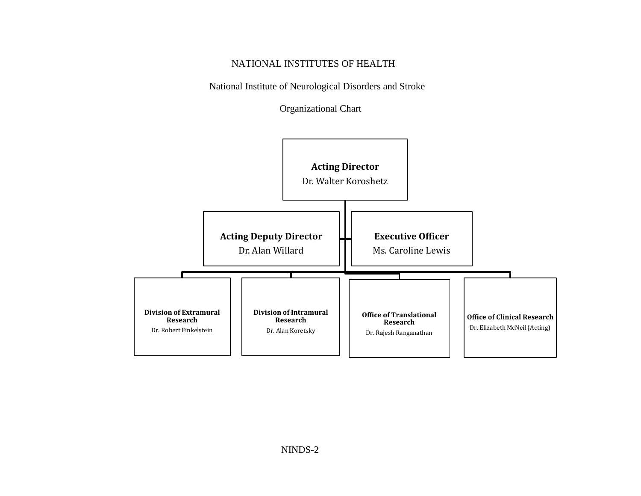# NATIONAL INSTITUTES OF HEALTH

National Institute of Neurological Disorders and Stroke

Organizational Chart

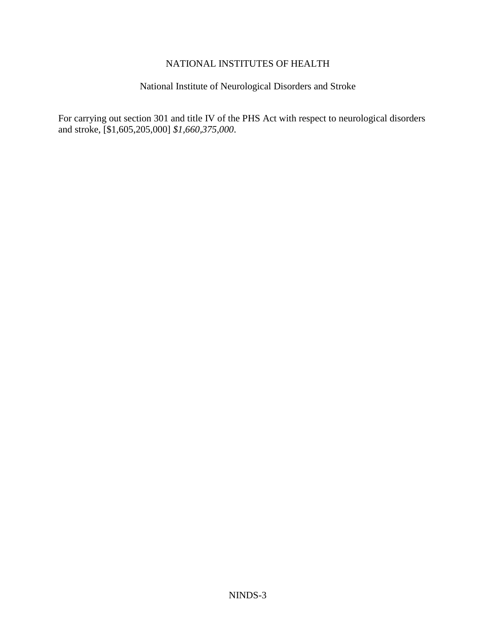## NATIONAL INSTITUTES OF HEALTH

# National Institute of Neurological Disorders and Stroke

For carrying out section 301 and title IV of the PHS Act with respect to neurological disorders and stroke, [\$1,605,205,000] *\$1,660,375,000*.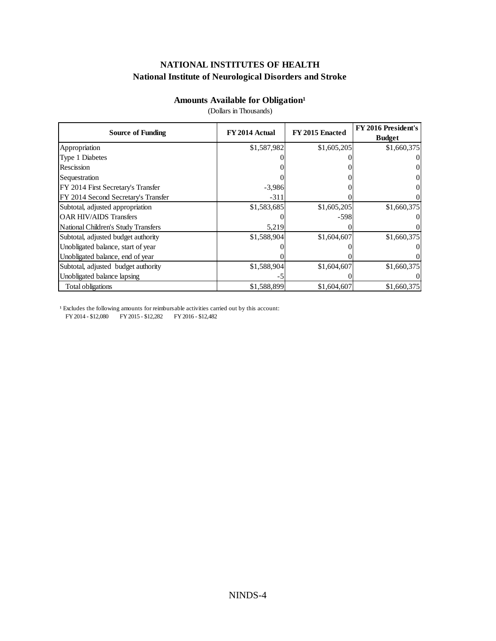## **Amounts Available for Obligation<sup>1</sup>**

(Dollars in Thousands)

| <b>Source of Funding</b>            | FY 2014 Actual | FY 2015 Enacted | <b>FY 2016 President's</b> |  |
|-------------------------------------|----------------|-----------------|----------------------------|--|
|                                     |                |                 | <b>Budget</b>              |  |
| Appropriation                       | \$1,587,982    | \$1,605,205     | \$1,660,375                |  |
| Type 1 Diabetes                     |                |                 | $\vert 0 \vert$            |  |
| Rescission                          |                |                 | $\vert 0 \vert$            |  |
| Sequestration                       |                |                 | $\vert 0 \vert$            |  |
| FY 2014 First Secretary's Transfer  | $-3,986$       |                 | $\vert 0 \vert$            |  |
| FY 2014 Second Secretary's Transfer | $-311$         |                 | $\Omega$                   |  |
| Subtotal, adjusted appropriation    | \$1,583,685    | \$1,605,205     | \$1,660,375                |  |
| <b>OAR HIV/AIDS Transfers</b>       |                | $-598$          | $\Omega$                   |  |
| National Children's Study Transfers | 5,219          |                 | $\Omega$                   |  |
| Subtotal, adjusted budget authority | \$1,588,904    | \$1,604,607     | \$1,660,375                |  |
| Unobligated balance, start of year  |                |                 | $\Omega$                   |  |
| Unobligated balance, end of year    |                |                 | $\Omega$                   |  |
| Subtotal, adjusted budget authority | \$1,588,904    | \$1,604,607     | \$1,660,375                |  |
| Unobligated balance lapsing         | - ג            |                 | $\Omega$                   |  |
| Total obligations                   | \$1,588,899    | \$1,604,607     | \$1,660,375                |  |

<sup>1</sup> Excludes the following amounts for reimbursable activities carried out by this account: FY 2014 - \$12,080 FY 2015 - \$12,282 FY 2016 - \$12,482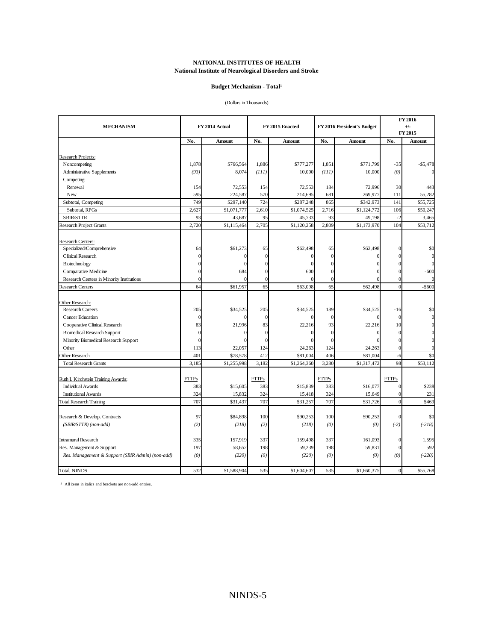#### **Budget Mechanism - Total<sup>1</sup>**

(Dollars in Thousands)

| <b>MECHANISM</b>                                              |                | FY 2014 Actual     |                | FY 2015 Enacted<br>FY 2016 President's Budget |                |                    |                                  | FY 2016<br>$+/-$ |  |
|---------------------------------------------------------------|----------------|--------------------|----------------|-----------------------------------------------|----------------|--------------------|----------------------------------|------------------|--|
|                                                               |                |                    |                |                                               |                |                    |                                  | FY 2015          |  |
|                                                               | No.            | Amount             | No.            | Amount                                        | No.            | Amount             | No.                              | Amount           |  |
|                                                               |                |                    |                |                                               |                |                    |                                  |                  |  |
| Research Projects:                                            |                |                    |                |                                               |                |                    |                                  |                  |  |
| Noncompeting                                                  | 1,878          | \$766,564          | 1,886          | \$777,277                                     | 1,851          | \$771,799          | $-35$                            | $-$5,478$        |  |
| <b>Administrative Supplements</b>                             | (93)           | 8,074              | (111)          | 10,000                                        | (111)          | 10,000             | (0)                              |                  |  |
| Competing:                                                    |                |                    |                |                                               |                |                    |                                  |                  |  |
| Renewal                                                       | 154            | 72,553             | 154            | 72,553                                        | 184            | 72,996             | 30                               | 443              |  |
| New                                                           | 595            | 224,587            | 570            | 214,695                                       | 681            | 269,977            | 111                              | 55,282           |  |
| Subtotal, Competing                                           | 749            | \$297,140          | 724            | \$287,248                                     | 865            | \$342,973          | 141                              | \$55,725         |  |
| Subtotal, RPGs                                                | 2,627          | \$1,071,777        | 2,610          | \$1,074,525                                   | 2,716          | \$1,124,772        | 106                              | \$50,247         |  |
| SBIR/STTR                                                     | 93             | 43,687             | 95             | 45,733                                        | 93             | 49,198             | $-2$                             | 3,465            |  |
| <b>Research Project Grants</b>                                | 2,720          | \$1,115,464        | 2,705          | \$1,120,258                                   | 2,809          | \$1,173,970        | 104                              | \$53,712         |  |
| Research Centers:                                             |                |                    |                |                                               |                |                    |                                  |                  |  |
| Specialized/Comprehensive                                     | 64             | \$61,273           | 65             | \$62,498                                      | 65             | \$62,498           | 0                                | \$0              |  |
| Clinical Research                                             | $\overline{0}$ | $\Omega$           | $\Omega$       | $\Omega$                                      | $\overline{0}$ | $\Omega$           | $\Omega$                         |                  |  |
| Biotechnology                                                 | $\Omega$       | $\Omega$           |                | $\theta$                                      | $\epsilon$     |                    | $\Omega$                         | $\Omega$         |  |
| Comparative Medicine                                          | $\Omega$       | 684                |                | 600                                           | $\epsilon$     |                    | $\theta$                         | $-600$           |  |
| Research Centers in Minority Institutions                     | $\overline{0}$ |                    | 0              | $\theta$                                      | $\epsilon$     |                    | $\mathbf{0}$                     | $\Omega$         |  |
| <b>Research Centers</b>                                       | 64             | \$61,957           | 65             | \$63,098                                      | 65             | \$62,498           | $\overline{0}$                   | $-$ \$600        |  |
| Other Research:                                               |                |                    |                |                                               |                |                    |                                  |                  |  |
| <b>Research Careers</b>                                       | 205            | \$34,525           | 205            | \$34,525                                      | 189            | \$34,525           | $-16$                            | \$0              |  |
| Cancer Education                                              | $\overline{0}$ |                    | $\overline{0}$ | $\theta$                                      | $\theta$       | $\Omega$           | $\mathbf{0}$                     | $\Omega$         |  |
| Cooperative Clinical Research                                 | 83             | 21,996             | 83             | 22,216                                        | 93             | 22,216             | 10                               |                  |  |
| <b>Biomedical Research Support</b>                            | $\mathbf{0}$   | 0                  | $\Omega$       | $\Omega$                                      | $\theta$       | $\mathbf{0}$       | $\mathbf{0}$                     |                  |  |
| Minority Biomedical Research Support                          | $\overline{0}$ | $\Omega$           | $\epsilon$     |                                               | $\sqrt{ }$     | $\Omega$           | $\Omega$                         | $\Omega$         |  |
| Other                                                         | 113            | 22,057             | 124            | 24,263                                        | 124            | 24,263             | $\overline{0}$                   | $\theta$         |  |
| Other Research                                                | 401            | \$78,578           | 412            | \$81,004                                      | 406            | \$81,004           | $-6$                             | \$0              |  |
| <b>Total Research Grants</b>                                  | 3,185          | \$1,255,998        | 3,182          | \$1,264,360                                   | 3,280          | \$1,317,472        | 98                               | \$53,112         |  |
|                                                               |                |                    |                |                                               |                |                    |                                  |                  |  |
| Ruth L Kirchstein Training Awards:                            | <b>FTTPs</b>   |                    | <b>FTTPs</b>   |                                               | <b>FTTPs</b>   |                    | <b>FTTPs</b>                     |                  |  |
| <b>Individual Awards</b>                                      | 383            | \$15,605           | 383            | \$15,839                                      | 383            | \$16,077           | $\mathbf{0}$                     | \$238            |  |
| <b>Institutional Awards</b><br><b>Total Research Training</b> | 324<br>707     | 15,832<br>\$31,437 | 324<br>707     | 15,418<br>\$31,257                            | 324<br>707     | 15,649<br>\$31,726 | $\overline{0}$<br>$\overline{0}$ | 231<br>\$469     |  |
|                                                               |                |                    |                |                                               |                |                    |                                  |                  |  |
| Research & Develop. Contracts                                 | 97             | \$84,898           | 100            | \$90,253                                      | 100            | \$90,253           | $\mathbf{0}$                     | \$0              |  |
| (SBIR/STTR) (non-add)                                         | (2)            | (218)              | (2)            | (218)                                         | (0)            | (0)                | $(-2)$                           | $(-218)$         |  |
| <b>Intramural Research</b>                                    | 335            | 157,919            | 337            | 159.498                                       | 337            | 161,093            | $\mathbf{0}$                     | 1,595            |  |
| Res. Management & Support                                     | 197            | 58,652             | 198            | 59,239                                        | 198            | 59,831             | $\mathbf{0}$                     | 592              |  |
| Res. Management & Support (SBIR Admin) (non-add)              | (0)            | (220)              | (0)            | (220)                                         | (0)            | (0)                | (0)                              | $(-220)$         |  |
| Total, NINDS                                                  | 532            | \$1,588,904        | 535            | \$1,604,607                                   | 535            | \$1,660,375        | $\mathbf{0}$                     | \$55,768         |  |
|                                                               |                |                    |                |                                               |                |                    |                                  |                  |  |

<sup>1</sup> All items in italics and brackets are non-add entries.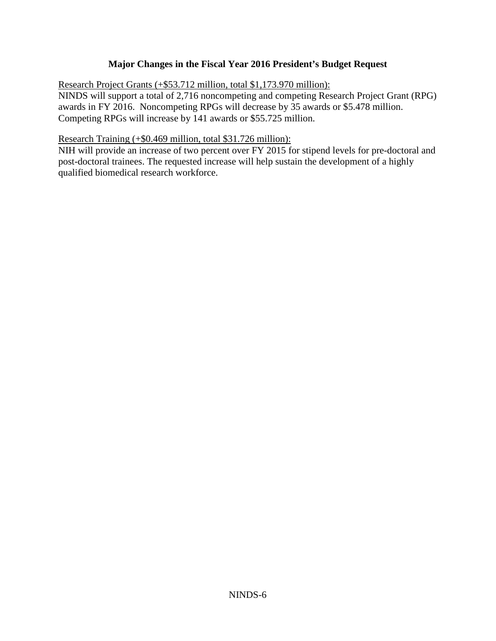# **Major Changes in the Fiscal Year 2016 President's Budget Request**

Research Project Grants (+\$53.712 million, total \$1,173.970 million):

NINDS will support a total of 2,716 noncompeting and competing Research Project Grant (RPG) awards in FY 2016. Noncompeting RPGs will decrease by 35 awards or \$5.478 million. Competing RPGs will increase by 141 awards or \$55.725 million.

## Research Training (+\$0.469 million, total \$31.726 million):

NIH will provide an increase of two percent over FY 2015 for stipend levels for pre-doctoral and post-doctoral trainees. The requested increase will help sustain the development of a highly qualified biomedical research workforce.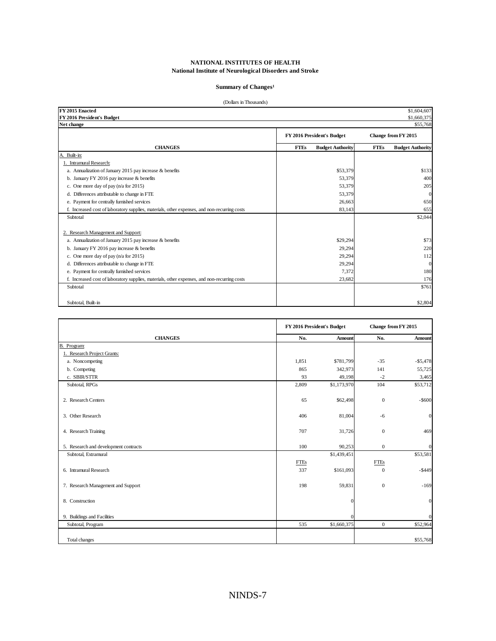#### Summary of Changes<sup>1</sup>

| (Dollars in Thousands)                                                                       |                                        |                                        |
|----------------------------------------------------------------------------------------------|----------------------------------------|----------------------------------------|
| FY 2015 Enacted                                                                              |                                        | \$1,604,607                            |
| FY 2016 President's Budget                                                                   |                                        | \$1,660,375                            |
| Net change                                                                                   |                                        | \$55,768                               |
|                                                                                              | FY 2016 President's Budget             | Change from FY 2015                    |
| <b>CHANGES</b>                                                                               | <b>FTEs</b><br><b>Budget Authority</b> | <b>FTEs</b><br><b>Budget Authority</b> |
| A. Built-in:                                                                                 |                                        |                                        |
| <b>Intramural Research:</b>                                                                  |                                        |                                        |
| a. Annualization of January 2015 pay increase & benefits                                     | \$53,379                               | \$133                                  |
| b. January FY 2016 pay increase & benefits                                                   | 53,379                                 | 400                                    |
| c. One more day of pay $(n/a$ for 2015)                                                      | 53,379                                 | 205                                    |
| d. Differences attributable to change in FTE                                                 | 53,379                                 |                                        |
| e. Payment for centrally furnished services                                                  | 26,663                                 | 650                                    |
| f. Increased cost of laboratory supplies, materials, other expenses, and non-recurring costs | 83,143                                 | 655                                    |
| Subtotal                                                                                     |                                        | \$2,044                                |
| 2. Research Management and Support:                                                          |                                        |                                        |
| a. Annualization of January 2015 pay increase & benefits                                     | \$29,294                               | \$73                                   |
| b. January FY 2016 pay increase & benefits                                                   | 29,294                                 | 220                                    |
| c. One more day of pay $(n/a$ for 2015)                                                      | 29,294                                 | 112                                    |
| d. Differences attributable to change in FTE                                                 | 29,294                                 | $\Omega$                               |
| e. Payment for centrally furnished services                                                  | 7,372                                  | 180                                    |
| f. Increased cost of laboratory supplies, materials, other expenses, and non-recurring costs | 23,682                                 | 176                                    |
| Subtotal                                                                                     |                                        | \$761                                  |
|                                                                                              |                                        |                                        |
| Subtotal, Built-in                                                                           |                                        | \$2,804                                |

|                                       |             | FY 2016 President's Budget |                | Change from FY 2015 |
|---------------------------------------|-------------|----------------------------|----------------|---------------------|
| <b>CHANGES</b>                        | No.         | Amount                     | No.            | Amount              |
| B.<br>Program:                        |             |                            |                |                     |
| 1. Research Project Grants:           |             |                            |                |                     |
| a. Noncompeting                       | 1,851       | \$781,799                  | $-35$          | $- $5,478$          |
| b. Competing                          | 865         | 342,973                    | 141            | 55,725              |
| c. SBIR/STTR                          | 93          | 49,198                     | $-2$           | 3,465               |
| Subtotal, RPGs                        | 2,809       | \$1,173,970                | 104            | \$53,712            |
| 2. Research Centers                   | 65          | \$62,498                   | $\mathbf{0}$   | $-$ \$600           |
| 3. Other Research                     | 406         | 81,004                     | $-6$           | $\theta$            |
| 4. Research Training                  | 707         | 31,726                     | $\mathbf{0}$   | 469                 |
| 5. Research and development contracts | 100         | 90,253                     | $\overline{0}$ | $\mathbf{0}$        |
| Subtotal, Extramural                  |             | \$1,439,451                |                | \$53,581            |
|                                       | <b>FTEs</b> |                            | <b>FTEs</b>    |                     |
| 6. Intramural Research                | 337         | \$161,093                  | $\mathbf{0}$   | $-$ \$449           |
| 7. Research Management and Support    | 198         | 59,831                     | $\mathbf{0}$   | $-169$              |
| 8. Construction                       |             | $\Omega$                   |                | $\mathbf{0}$        |
| 9. Buildings and Facilities           |             | $\Omega$                   |                | $\theta$            |
| Subtotal, Program                     | 535         | \$1,660,375                | $\mathbf{0}$   | \$52,964            |
| Total changes                         |             |                            |                | \$55,768            |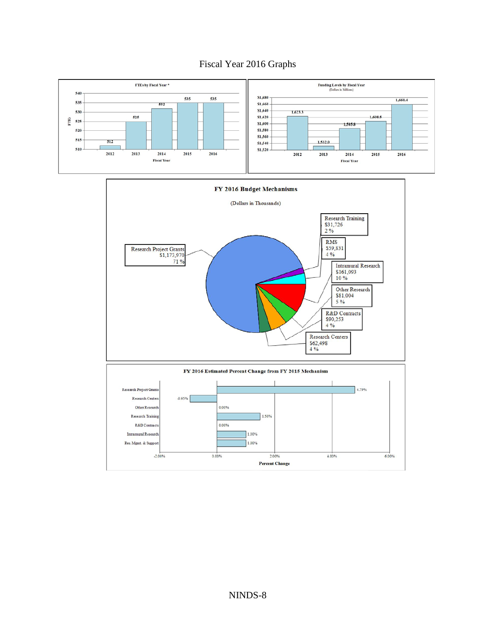# Fiscal Year 2016 Graphs



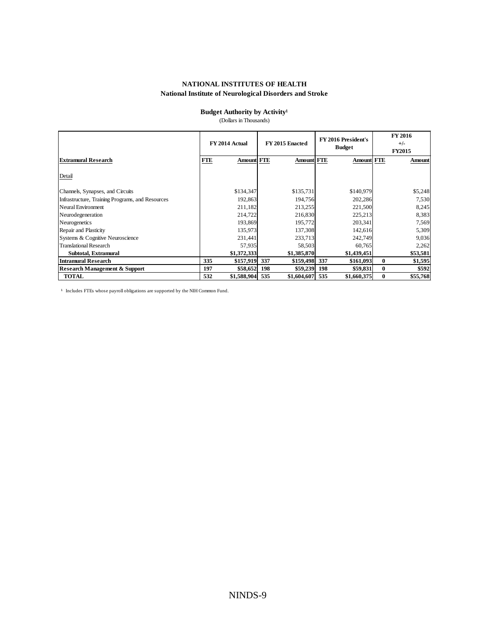### **Budget Authority by Activity<sup>1</sup>**

(Dollars in Thousands)

|                                                  | FY 2014 Actual                  | FY 2015 Enacted      | FY 2016 President's<br><b>Budget</b> | FY 2016<br>$+/-$<br><b>FY2015</b> |
|--------------------------------------------------|---------------------------------|----------------------|--------------------------------------|-----------------------------------|
| <b>Extramural Research</b>                       | <b>Amount FTE</b><br><b>FTE</b> | <b>Amount FTE</b>    | <b>Amount FTE</b>                    | Amount                            |
| Detail                                           |                                 |                      |                                      |                                   |
| Channels, Synapses, and Circuits                 | \$134,347                       | \$135,731            | \$140,979                            | \$5,248                           |
| Infrastructure, Training Programs, and Resources | 192,863                         | 194,756              | 202,286                              | 7,530                             |
| Neural Environment                               | 211,182                         | 213,255              | 221,500                              | 8,245                             |
| Neurodegeneration                                | 214,722                         | 216,830              | 225,213                              | 8,383                             |
| Neurogenetics                                    | 193,869                         | 195,772              | 203,341                              | 7,569                             |
| Repair and Plasticity                            | 135,973                         | 137,308              | 142,616                              | 5,309                             |
| Systems & Cognitive Neuroscience                 | 231,441                         | 233,713              | 242,749                              | 9,036                             |
| <b>Translational Research</b>                    | 57,935                          | 58,503               | 60,765                               | 2,262                             |
| Subtotal, Extramural                             | \$1,372,333                     | \$1,385,870          | \$1,439,451                          | \$53,581                          |
| <b>Intramural Research</b>                       | 335<br>\$157,919                | \$159,498 337<br>337 | \$161,093                            | $\bf{0}$<br>\$1,595               |
| <b>Research Management &amp; Support</b>         | 197<br>\$58,652                 | 198<br>\$59,239      | 198<br>\$59,831                      | \$592<br>$\mathbf{0}$             |
| <b>TOTAL</b>                                     | 532<br>\$1,588,904              | 535<br>\$1,604,607   | 535<br>\$1,660,375                   | \$55,768<br>$\bf{0}$              |

<sup>1</sup> Includes FTEs whose payroll obligations are supported by the NIH Common Fund.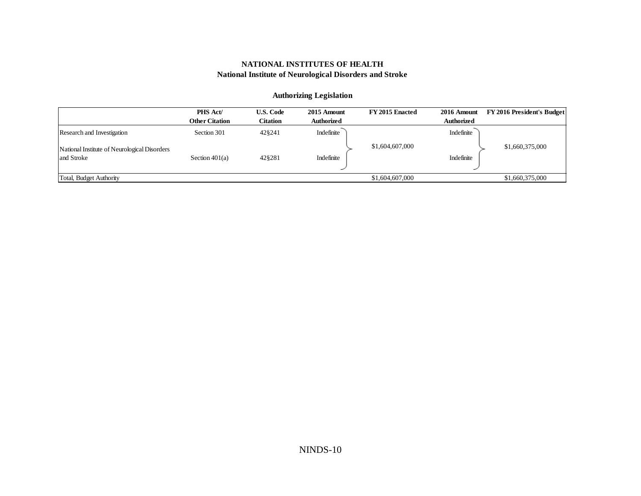### **Authorizing Legislation**

|                                              | <b>PHS Act/</b>       | <b>U.S. Code</b> | 2015 Amount       | FY 2015 Enacted | 2016 Amount       | <b>FY 2016 President's Budget</b> |
|----------------------------------------------|-----------------------|------------------|-------------------|-----------------|-------------------|-----------------------------------|
|                                              | <b>Other Citation</b> | Citation         | <b>Authorized</b> |                 | <b>Authorized</b> |                                   |
| Research and Investigation                   | Section 301           | 428241           | Indefinite        |                 | Indefinite        |                                   |
| National Institute of Neurological Disorders |                       |                  |                   | \$1,604,607,000 |                   | \$1,660,375,000                   |
| and Stroke                                   | Section $401(a)$      | 428281           | Indefinite        |                 | Indefinite        |                                   |
|                                              |                       |                  |                   |                 |                   |                                   |
| Total, Budget Authority                      |                       |                  |                   | \$1,604,607,000 |                   | \$1,660,375,000                   |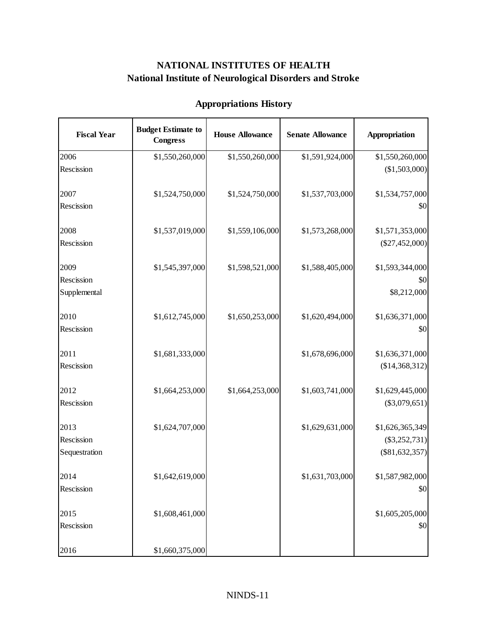| <b>Fiscal Year</b>                  | <b>Budget Estimate to</b><br><b>Congress</b> | <b>House Allowance</b> | <b>Senate Allowance</b> | Appropriation                                          |
|-------------------------------------|----------------------------------------------|------------------------|-------------------------|--------------------------------------------------------|
| 2006                                | \$1,550,260,000                              | \$1,550,260,000        | \$1,591,924,000         | \$1,550,260,000                                        |
| Rescission                          |                                              |                        |                         | (\$1,503,000)                                          |
| 2007<br>Rescission                  | \$1,524,750,000                              | \$1,524,750,000        | \$1,537,703,000         | \$1,534,757,000<br>\$0                                 |
| 2008<br>Rescission                  | \$1,537,019,000                              | \$1,559,106,000        | \$1,573,268,000         | \$1,571,353,000<br>$(\$27,452,000)$                    |
| 2009<br>Rescission<br>Supplemental  | \$1,545,397,000                              | \$1,598,521,000        | \$1,588,405,000         | \$1,593,344,000<br>\$0<br>\$8,212,000                  |
| 2010<br>Rescission                  | \$1,612,745,000                              | \$1,650,253,000        | \$1,620,494,000         | \$1,636,371,000<br>\$0                                 |
| 2011<br>Rescission                  | \$1,681,333,000                              |                        | \$1,678,696,000         | \$1,636,371,000<br>(\$14,368,312)                      |
| 2012<br>Rescission                  | \$1,664,253,000                              | \$1,664,253,000        | \$1,603,741,000         | \$1,629,445,000<br>$(\$3,079,651)$                     |
| 2013<br>Rescission<br>Sequestration | \$1,624,707,000                              |                        | \$1,629,631,000         | \$1,626,365,349<br>$(\$3,252,731)$<br>$(\$81,632,357)$ |
| 2014<br>Rescission                  | \$1,642,619,000                              |                        | \$1,631,703,000         | \$1,587,982,000<br>\$0                                 |
| 2015<br>Rescission                  | \$1,608,461,000                              |                        |                         | \$1,605,205,000<br>\$0                                 |
| 2016                                | \$1,660,375,000                              |                        |                         |                                                        |

# **Appropriations History**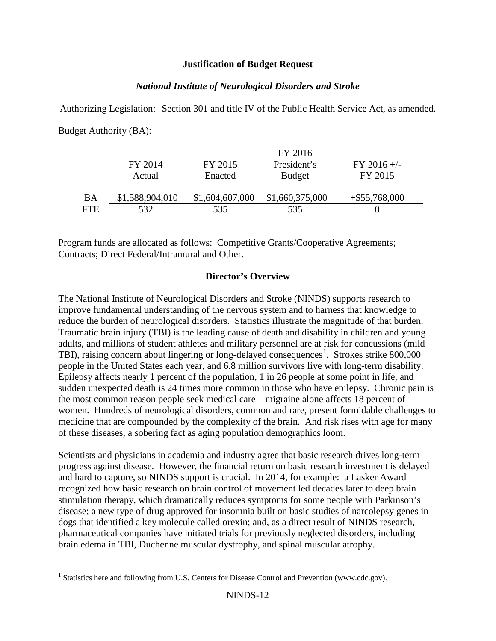### **Justification of Budget Request**

## *National Institute of Neurological Disorders and Stroke*

Authorizing Legislation: Section 301 and title IV of the Public Health Service Act, as amended. Budget Authority (BA):

|     |                 |                 | FY 2016         |                  |  |
|-----|-----------------|-----------------|-----------------|------------------|--|
|     | FY 2014         | FY 2015         | President's     | $FY$ 2016 +/-    |  |
|     | Actual          | Enacted         | <b>Budget</b>   | FY 2015          |  |
| BA  | \$1,588,904,010 | \$1,604,607,000 | \$1,660,375,000 | $+$ \$55,768,000 |  |
| FTE | 532             | 535.            | 535             |                  |  |

Program funds are allocated as follows: Competitive Grants/Cooperative Agreements; Contracts; Direct Federal/Intramural and Other.

## **Director's Overview**

The National Institute of Neurological Disorders and Stroke (NINDS) supports research to improve fundamental understanding of the nervous system and to harness that knowledge to reduce the burden of neurological disorders. Statistics illustrate the magnitude of that burden. Traumatic brain injury (TBI) is the leading cause of death and disability in children and young adults, and millions of student athletes and military personnel are at risk for concussions (mild TBI), raising concern about lingering or long-delayed consequences<sup>[1](#page-11-0)</sup>. Strokes strike 800,000 people in the United States each year, and 6.8 million survivors live with long-term disability. Epilepsy affects nearly 1 percent of the population, 1 in 26 people at some point in life, and sudden unexpected death is 24 times more common in those who have epilepsy. Chronic pain is the most common reason people seek medical care – migraine alone affects 18 percent of women. Hundreds of neurological disorders, common and rare, present formidable challenges to medicine that are compounded by the complexity of the brain. And risk rises with age for many of these diseases, a sobering fact as aging population demographics loom.

Scientists and physicians in academia and industry agree that basic research drives long-term progress against disease. However, the financial return on basic research investment is delayed and hard to capture, so NINDS support is crucial. In 2014, for example: a Lasker Award recognized how basic research on brain control of movement led decades later to deep brain stimulation therapy, which dramatically reduces symptoms for some people with Parkinson's disease; a new type of drug approved for insomnia built on basic studies of narcolepsy genes in dogs that identified a key molecule called orexin; and, as a direct result of NINDS research, pharmaceutical companies have initiated trials for previously neglected disorders, including brain edema in TBI, Duchenne muscular dystrophy, and spinal muscular atrophy.

<span id="page-11-0"></span><sup>&</sup>lt;sup>1</sup> Statistics here and following from U.S. Centers for Disease Control and Prevention (www.cdc.gov).  $\overline{a}$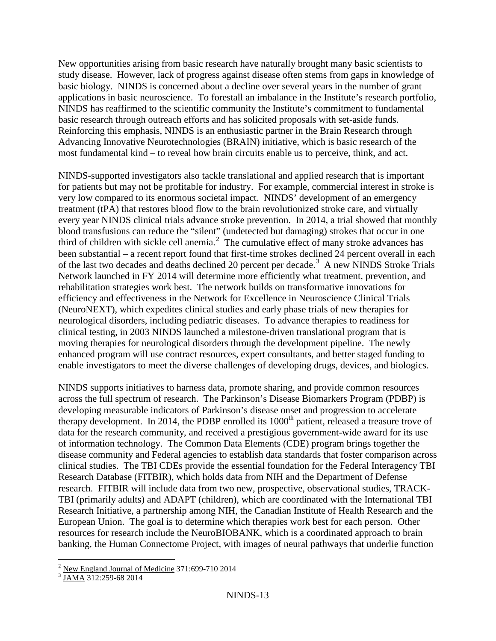New opportunities arising from basic research have naturally brought many basic scientists to study disease. However, lack of progress against disease often stems from gaps in knowledge of basic biology. NINDS is concerned about a decline over several years in the number of grant applications in basic neuroscience. To forestall an imbalance in the Institute's research portfolio, NINDS has reaffirmed to the scientific community the Institute's commitment to fundamental basic research through outreach efforts and has solicited proposals with set-aside funds. Reinforcing this emphasis, NINDS is an enthusiastic partner in the Brain Research through Advancing Innovative Neurotechnologies (BRAIN) initiative, which is basic research of the most fundamental kind – to reveal how brain circuits enable us to perceive, think, and act.

NINDS-supported investigators also tackle translational and applied research that is important for patients but may not be profitable for industry. For example, commercial interest in stroke is very low compared to its enormous societal impact. NINDS' development of an emergency treatment (tPA) that restores blood flow to the brain revolutionized stroke care, and virtually every year NINDS clinical trials advance stroke prevention. In 2014, a trial showed that monthly blood transfusions can reduce the "silent" (undetected but damaging) strokes that occur in one third of children with sickle cell anemia.<sup>[2](#page-12-0)</sup> The cumulative effect of many stroke advances has been substantial – a recent report found that first-time strokes declined 24 percent overall in each of the last two decades and deaths declined 20 percent per decade.<sup>[3](#page-12-1)</sup> A new NINDS Stroke Trials Network launched in FY 2014 will determine more efficiently what treatment, prevention, and rehabilitation strategies work best. The network builds on transformative innovations for efficiency and effectiveness in the Network for Excellence in Neuroscience Clinical Trials (NeuroNEXT), which expedites clinical studies and early phase trials of new therapies for neurological disorders, including pediatric diseases. To advance therapies to readiness for clinical testing, in 2003 NINDS launched a milestone-driven translational program that is moving therapies for neurological disorders through the development pipeline. The newly enhanced program will use contract resources, expert consultants, and better staged funding to enable investigators to meet the diverse challenges of developing drugs, devices, and biologics.

NINDS supports initiatives to harness data, promote sharing, and provide common resources across the full spectrum of research. The Parkinson's Disease Biomarkers Program (PDBP) is developing measurable indicators of Parkinson's disease onset and progression to accelerate therapy development. In 2014, the PDBP enrolled its 1000<sup>th</sup> patient, released a treasure trove of data for the research community, and received a prestigious government-wide award for its use of information technology. The Common Data Elements (CDE) program brings together the disease community and Federal agencies to establish data standards that foster comparison across clinical studies. The TBI CDEs provide the essential foundation for the Federal Interagency TBI Research Database (FITBIR), which holds data from NIH and the Department of Defense research. FITBIR will include data from two new, prospective, observational studies, TRACK-TBI (primarily adults) and ADAPT (children), which are coordinated with the International TBI Research Initiative, a partnership among NIH, the Canadian Institute of Health Research and the European Union. The goal is to determine which therapies work best for each person. Other resources for research include the NeuroBIOBANK, which is a coordinated approach to brain banking, the Human Connectome Project, with images of neural pathways that underlie function

<span id="page-12-0"></span> $^2$  <u>New England Journal of Medicine</u> 371:699-710 2014<br><sup>3</sup> <u>JAMA</u> 312:259-68 2014  $\overline{1}$ 

<span id="page-12-1"></span>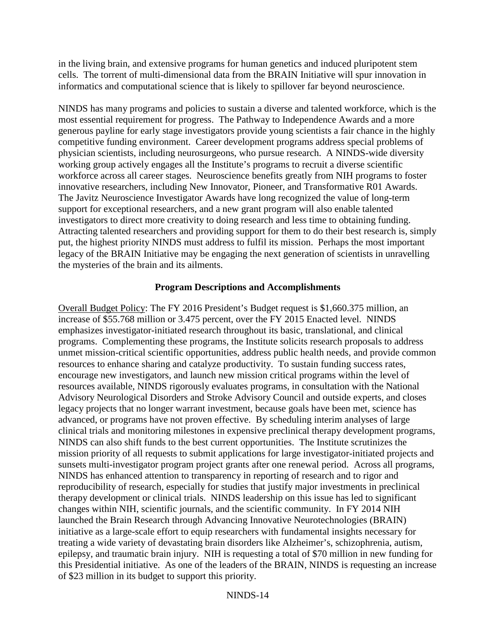in the living brain, and extensive programs for human genetics and induced pluripotent stem cells. The torrent of multi-dimensional data from the BRAIN Initiative will spur innovation in informatics and computational science that is likely to spillover far beyond neuroscience.

NINDS has many programs and policies to sustain a diverse and talented workforce, which is the most essential requirement for progress. The Pathway to Independence Awards and a more generous payline for early stage investigators provide young scientists a fair chance in the highly competitive funding environment. Career development programs address special problems of physician scientists, including neurosurgeons, who pursue research. A NINDS-wide diversity working group actively engages all the Institute's programs to recruit a diverse scientific workforce across all career stages. Neuroscience benefits greatly from NIH programs to foster innovative researchers, including New Innovator, Pioneer, and Transformative R01 Awards. The Javitz Neuroscience Investigator Awards have long recognized the value of long-term support for exceptional researchers, and a new grant program will also enable talented investigators to direct more creativity to doing research and less time to obtaining funding. Attracting talented researchers and providing support for them to do their best research is, simply put, the highest priority NINDS must address to fulfil its mission. Perhaps the most important legacy of the BRAIN Initiative may be engaging the next generation of scientists in unravelling the mysteries of the brain and its ailments.

## **Program Descriptions and Accomplishments**

Overall Budget Policy: The FY 2016 President's Budget request is \$1,660.375 million, an increase of \$55.768 million or 3.475 percent, over the FY 2015 Enacted level. NINDS emphasizes investigator-initiated research throughout its basic, translational, and clinical programs. Complementing these programs, the Institute solicits research proposals to address unmet mission-critical scientific opportunities, address public health needs, and provide common resources to enhance sharing and catalyze productivity. To sustain funding success rates, encourage new investigators, and launch new mission critical programs within the level of resources available, NINDS rigorously evaluates programs, in consultation with the National Advisory Neurological Disorders and Stroke Advisory Council and outside experts, and closes legacy projects that no longer warrant investment, because goals have been met, science has advanced, or programs have not proven effective. By scheduling interim analyses of large clinical trials and monitoring milestones in expensive preclinical therapy development programs, NINDS can also shift funds to the best current opportunities. The Institute scrutinizes the mission priority of all requests to submit applications for large investigator-initiated projects and sunsets multi-investigator program project grants after one renewal period. Across all programs, NINDS has enhanced attention to transparency in reporting of research and to rigor and reproducibility of research, especially for studies that justify major investments in preclinical therapy development or clinical trials. NINDS leadership on this issue has led to significant changes within NIH, scientific journals, and the scientific community. In FY 2014 NIH launched the Brain Research through Advancing Innovative Neurotechnologies (BRAIN) initiative as a large-scale effort to equip researchers with fundamental insights necessary for treating a wide variety of devastating brain disorders like Alzheimer's, schizophrenia, autism, epilepsy, and traumatic brain injury. NIH is requesting a total of \$70 million in new funding for this Presidential initiative. As one of the leaders of the BRAIN, NINDS is requesting an increase of \$23 million in its budget to support this priority.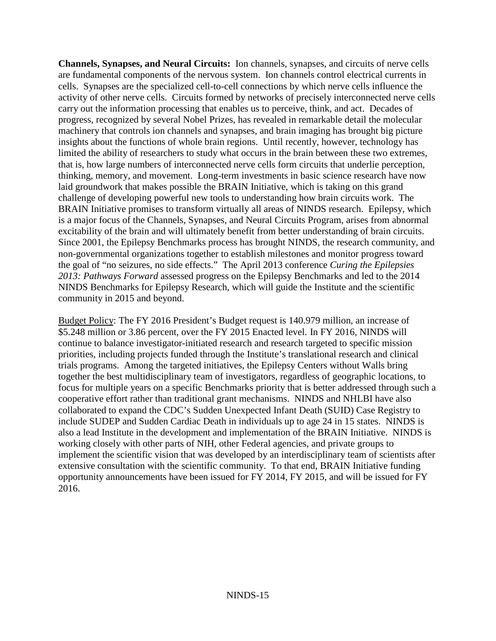**Channels, Synapses, and Neural Circuits:** Ion channels, synapses, and circuits of nerve cells are fundamental components of the nervous system. Ion channels control electrical currents in cells. Synapses are the specialized cell-to-cell connections by which nerve cells influence the activity of other nerve cells. Circuits formed by networks of precisely interconnected nerve cells carry out the information processing that enables us to perceive, think, and act. Decades of progress, recognized by several Nobel Prizes, has revealed in remarkable detail the molecular machinery that controls ion channels and synapses, and brain imaging has brought big picture insights about the functions of whole brain regions. Until recently, however, technology has limited the ability of researchers to study what occurs in the brain between these two extremes, that is, how large numbers of interconnected nerve cells form circuits that underlie perception, thinking, memory, and movement. Long-term investments in basic science research have now laid groundwork that makes possible the BRAIN Initiative, which is taking on this grand challenge of developing powerful new tools to understanding how brain circuits work. The BRAIN Initiative promises to transform virtually all areas of NINDS research. Epilepsy, which is a major focus of the Channels, Synapses, and Neural Circuits Program, arises from abnormal excitability of the brain and will ultimately benefit from better understanding of brain circuits. Since 2001, the Epilepsy Benchmarks process has brought NINDS, the research community, and non-governmental organizations together to establish milestones and monitor progress toward the goal of "no seizures, no side effects." The April 2013 conference *Curing the Epilepsies 2013: Pathways Forward* assessed progress on the Epilepsy Benchmarks and led to the 2014 NINDS Benchmarks for Epilepsy Research, which will guide the Institute and the scientific community in 2015 and beyond.

Budget Policy: The FY 2016 President's Budget request is 140.979 million, an increase of \$5.248 million or 3.86 percent, over the FY 2015 Enacted level. In FY 2016, NINDS will continue to balance investigator-initiated research and research targeted to specific mission priorities, including projects funded through the Institute's translational research and clinical trials programs. Among the targeted initiatives, the Epilepsy Centers without Walls bring together the best multidisciplinary team of investigators, regardless of geographic locations, to focus for multiple years on a specific Benchmarks priority that is better addressed through such a cooperative effort rather than traditional grant mechanisms. NINDS and NHLBI have also collaborated to expand the CDC's Sudden Unexpected Infant Death (SUID) Case Registry to include SUDEP and Sudden Cardiac Death in individuals up to age 24 in 15 states. NINDS is also a lead Institute in the development and implementation of the BRAIN Initiative. NINDS is working closely with other parts of NIH, other Federal agencies, and private groups to implement the scientific vision that was developed by an interdisciplinary team of scientists after extensive consultation with the scientific community. To that end, BRAIN Initiative funding opportunity announcements have been issued for FY 2014, FY 2015, and will be issued for FY 2016.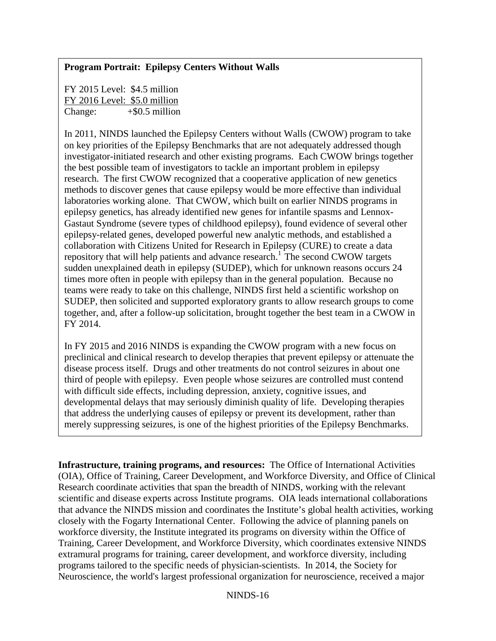## **Program Portrait: Epilepsy Centers Without Walls**

FY 2015 Level: \$4.5 million FY 2016 Level: \$5.0 million Change:+\$0.5 million

In 2011, NINDS launched the Epilepsy Centers without Walls (CWOW) program to take on key priorities of the Epilepsy Benchmarks that are not adequately addressed though investigator-initiated research and other existing programs. Each CWOW brings together the best possible team of investigators to tackle an important problem in epilepsy research. The first CWOW recognized that a cooperative application of new genetics methods to discover genes that cause epilepsy would be more effective than individual laboratories working alone. That CWOW, which built on earlier NINDS programs in epilepsy genetics, has already identified new genes for infantile spasms and Lennox-Gastaut Syndrome (severe types of childhood epilepsy), found evidence of several other epilepsy-related genes, developed powerful new analytic methods, and established a collaboration with Citizens United for Research in Epilepsy (CURE) to create a data repository that will help patients and advance research.<sup>1</sup> The second CWOW targets sudden unexplained death in epilepsy (SUDEP), which for unknown reasons occurs 24 times more often in people with epilepsy than in the general population. Because no teams were ready to take on this challenge, NINDS first held a scientific workshop on SUDEP, then solicited and supported exploratory grants to allow research groups to come together, and, after a follow-up solicitation, brought together the best team in a CWOW in FY 2014.

In FY 2015 and 2016 NINDS is expanding the CWOW program with a new focus on preclinical and clinical research to develop therapies that prevent epilepsy or attenuate the disease process itself. Drugs and other treatments do not control seizures in about one third of people with epilepsy. Even people whose seizures are controlled must contend with difficult side effects, including depression, anxiety, cognitive issues, and developmental delays that may seriously diminish quality of life. Developing therapies that address the underlying causes of epilepsy or prevent its development, rather than merely suppressing seizures, is one of the highest priorities of the Epilepsy Benchmarks.

**Infrastructure, training programs, and resources:** The Office of International Activities (OIA), Office of Training, Career Development, and Workforce Diversity, and Office of Clinical Research coordinate activities that span the breadth of NINDS, working with the relevant scientific and disease experts across Institute programs. OIA leads international collaborations that advance the NINDS mission and coordinates the Institute's global health activities, working closely with the Fogarty International Center. Following the advice of planning panels on workforce diversity, the Institute integrated its programs on diversity within the Office of Training, Career Development, and Workforce Diversity, which coordinates extensive NINDS extramural programs for training, career development, and workforce diversity, including programs tailored to the specific needs of physician-scientists. In 2014, the Society for Neuroscience, the world's largest professional organization for neuroscience, received a major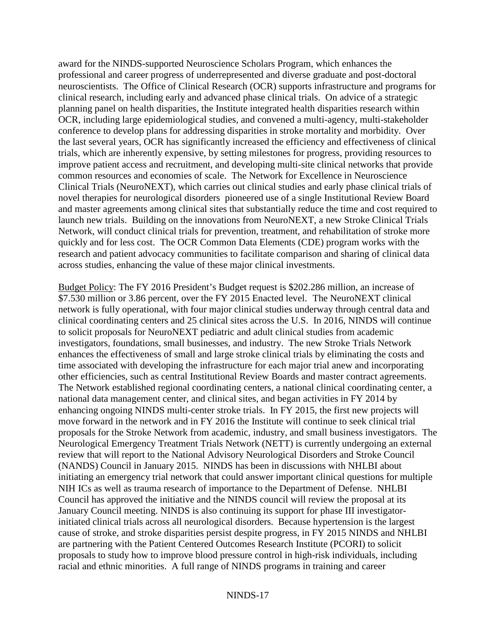award for the NINDS-supported Neuroscience Scholars Program, which enhances the professional and career progress of underrepresented and diverse graduate and post-doctoral neuroscientists. The Office of Clinical Research (OCR) supports infrastructure and programs for clinical research, including early and advanced phase clinical trials. On advice of a strategic planning panel on health disparities, the Institute integrated health disparities research within OCR, including large epidemiological studies, and convened a multi-agency, multi-stakeholder conference to develop plans for addressing disparities in stroke mortality and morbidity. Over the last several years, OCR has significantly increased the efficiency and effectiveness of clinical trials, which are inherently expensive, by setting milestones for progress, providing resources to improve patient access and recruitment, and developing multi-site clinical networks that provide common resources and economies of scale. The Network for Excellence in Neuroscience Clinical Trials (NeuroNEXT), which carries out clinical studies and early phase clinical trials of novel therapies for neurological disorders pioneered use of a single Institutional Review Board and master agreements among clinical sites that substantially reduce the time and cost required to launch new trials. Building on the innovations from NeuroNEXT, a new Stroke Clinical Trials Network, will conduct clinical trials for prevention, treatment, and rehabilitation of stroke more quickly and for less cost. The OCR Common Data Elements (CDE) program works with the research and patient advocacy communities to facilitate comparison and sharing of clinical data across studies, enhancing the value of these major clinical investments.

Budget Policy: The FY 2016 President's Budget request is \$202.286 million, an increase of \$7.530 million or 3.86 percent, over the FY 2015 Enacted level. The NeuroNEXT clinical network is fully operational, with four major clinical studies underway through central data and clinical coordinating centers and 25 clinical sites across the U.S. In 2016, NINDS will continue to solicit proposals for NeuroNEXT pediatric and adult clinical studies from academic investigators, foundations, small businesses, and industry. The new Stroke Trials Network enhances the effectiveness of small and large stroke clinical trials by eliminating the costs and time associated with developing the infrastructure for each major trial anew and incorporating other efficiencies, such as central Institutional Review Boards and master contract agreements. The Network established regional coordinating centers, a national clinical coordinating center, a national data management center, and clinical sites, and began activities in FY 2014 by enhancing ongoing NINDS multi-center stroke trials. In FY 2015, the first new projects will move forward in the network and in FY 2016 the Institute will continue to seek clinical trial proposals for the Stroke Network from academic, industry, and small business investigators. The Neurological Emergency Treatment Trials Network (NETT) is currently undergoing an external review that will report to the National Advisory Neurological Disorders and Stroke Council (NANDS) Council in January 2015. NINDS has been in discussions with NHLBI about initiating an emergency trial network that could answer important clinical questions for multiple NIH ICs as well as trauma research of importance to the Department of Defense. NHLBI Council has approved the initiative and the NINDS council will review the proposal at its January Council meeting. NINDS is also continuing its support for phase III investigatorinitiated clinical trials across all neurological disorders. Because hypertension is the largest cause of stroke, and stroke disparities persist despite progress, in FY 2015 NINDS and NHLBI are partnering with the Patient Centered Outcomes Research Institute (PCORI) to solicit proposals to study how to improve blood pressure control in high-risk individuals, including racial and ethnic minorities. A full range of NINDS programs in training and career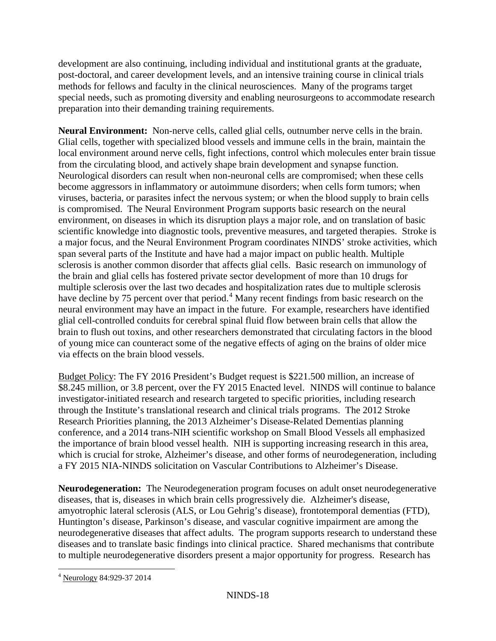development are also continuing, including individual and institutional grants at the graduate, post-doctoral, and career development levels, and an intensive training course in clinical trials methods for fellows and faculty in the clinical neurosciences. Many of the programs target special needs, such as promoting diversity and enabling neurosurgeons to accommodate research preparation into their demanding training requirements.

**Neural Environment:** Non-nerve cells, called glial cells, outnumber nerve cells in the brain. Glial cells, together with specialized blood vessels and immune cells in the brain, maintain the local environment around nerve cells, fight infections, control which molecules enter brain tissue from the circulating blood, and actively shape brain development and synapse function. Neurological disorders can result when non-neuronal cells are compromised; when these cells become aggressors in inflammatory or autoimmune disorders; when cells form tumors; when viruses, bacteria, or parasites infect the nervous system; or when the blood supply to brain cells is compromised. The Neural Environment Program supports basic research on the neural environment, on diseases in which its disruption plays a major role, and on translation of basic scientific knowledge into diagnostic tools, preventive measures, and targeted therapies. Stroke is a major focus, and the Neural Environment Program coordinates NINDS' stroke activities, which span several parts of the Institute and have had a major impact on public health. Multiple sclerosis is another common disorder that affects glial cells. Basic research on immunology of the brain and glial cells has fostered private sector development of more than 10 drugs for multiple sclerosis over the last two decades and hospitalization rates due to multiple sclerosis have decline by 75 percent over that period.<sup>[4](#page-17-0)</sup> Many recent findings from basic research on the neural environment may have an impact in the future. For example, researchers have identified glial cell-controlled conduits for cerebral spinal fluid flow between brain cells that allow the brain to flush out toxins, and other researchers demonstrated that circulating factors in the blood of young mice can counteract some of the negative effects of aging on the brains of older mice via effects on the brain blood vessels.

Budget Policy: The FY 2016 President's Budget request is \$221.500 million, an increase of \$8.245 million, or 3.8 percent, over the FY 2015 Enacted level. NINDS will continue to balance investigator-initiated research and research targeted to specific priorities, including research through the Institute's translational research and clinical trials programs. The 2012 Stroke Research Priorities planning, the 2013 Alzheimer's Disease-Related Dementias planning conference, and a 2014 trans-NIH scientific workshop on Small Blood Vessels all emphasized the importance of brain blood vessel health. NIH is supporting increasing research in this area, which is crucial for stroke, Alzheimer's disease, and other forms of neurodegeneration, including a FY 2015 NIA-NINDS solicitation on Vascular Contributions to Alzheimer's Disease.

**Neurodegeneration:** The Neurodegeneration program focuses on adult onset neurodegenerative diseases, that is, diseases in which brain cells progressively die. Alzheimer's disease, amyotrophic lateral sclerosis (ALS, or Lou Gehrig's disease), frontotemporal dementias (FTD), Huntington's disease, Parkinson's disease, and vascular cognitive impairment are among the neurodegenerative diseases that affect adults. The program supports research to understand these diseases and to translate basic findings into clinical practice. Shared mechanisms that contribute to multiple neurodegenerative disorders present a major opportunity for progress. Research has

<span id="page-17-0"></span><sup>4</sup> Neurology 84:929-37 2014  $\overline{a}$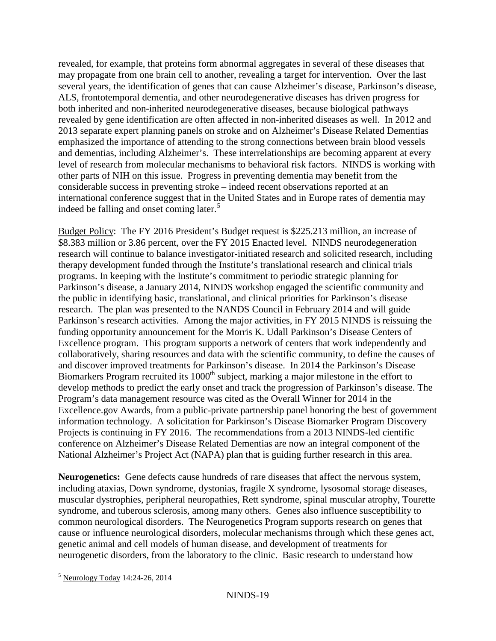revealed, for example, that proteins form abnormal aggregates in several of these diseases that may propagate from one brain cell to another, revealing a target for intervention. Over the last several years, the identification of genes that can cause Alzheimer's disease, Parkinson's disease, ALS, frontotemporal dementia, and other neurodegenerative diseases has driven progress for both inherited and non-inherited neurodegenerative diseases, because biological pathways revealed by gene identification are often affected in non-inherited diseases as well. In 2012 and 2013 separate expert planning panels on stroke and on Alzheimer's Disease Related Dementias emphasized the importance of attending to the strong connections between brain blood vessels and dementias, including Alzheimer's. These interrelationships are becoming apparent at every level of research from molecular mechanisms to behavioral risk factors. NINDS is working with other parts of NIH on this issue. Progress in preventing dementia may benefit from the considerable success in preventing stroke – indeed recent observations reported at an international conference suggest that in the United States and in Europe rates of dementia may indeed be falling and onset coming later.<sup>[5](#page-18-0)</sup>

Budget Policy: The FY 2016 President's Budget request is \$225.213 million, an increase of \$8.383 million or 3.86 percent, over the FY 2015 Enacted level. NINDS neurodegeneration research will continue to balance investigator-initiated research and solicited research, including therapy development funded through the Institute's translational research and clinical trials programs. In keeping with the Institute's commitment to periodic strategic planning for Parkinson's disease, a January 2014, NINDS workshop engaged the scientific community and the public in identifying basic, translational, and clinical priorities for Parkinson's disease research. The plan was presented to the NANDS Council in February 2014 and will guide Parkinson's research activities. Among the major activities, in FY 2015 NINDS is reissuing the funding opportunity announcement for the Morris K. Udall Parkinson's Disease Centers of Excellence program. This program supports a network of centers that work independently and collaboratively, sharing resources and data with the scientific community, to define the causes of and discover improved treatments for Parkinson's disease. In 2014 the Parkinson's Disease Biomarkers Program recruited its 1000<sup>th</sup> subject, marking a major milestone in the effort to develop methods to predict the early onset and track the progression of Parkinson's disease. The Program's data management resource was cited as the Overall Winner for 2014 in the Excellence.gov Awards, from a public-private partnership panel honoring the best of government information technology. A solicitation for Parkinson's Disease Biomarker Program Discovery Projects is continuing in FY 2016. The recommendations from a 2013 NINDS-led cientific conference on Alzheimer's Disease Related Dementias are now an integral component of the National Alzheimer's Project Act (NAPA) plan that is guiding further research in this area.

**Neurogenetics:** Gene defects cause hundreds of rare diseases that affect the nervous system, including ataxias, Down syndrome, dystonias, fragile X syndrome, lysosomal storage diseases, muscular dystrophies, peripheral neuropathies, Rett syndrome, spinal muscular atrophy, Tourette syndrome, and tuberous sclerosis, among many others. Genes also influence susceptibility to common neurological disorders. The Neurogenetics Program supports research on genes that cause or influence neurological disorders, molecular mechanisms through which these genes act, genetic animal and cell models of human disease, and development of treatments for neurogenetic disorders, from the laboratory to the clinic. Basic research to understand how

<span id="page-18-0"></span><sup>5</sup> Neurology Today 14:24-26, 2014  $\overline{a}$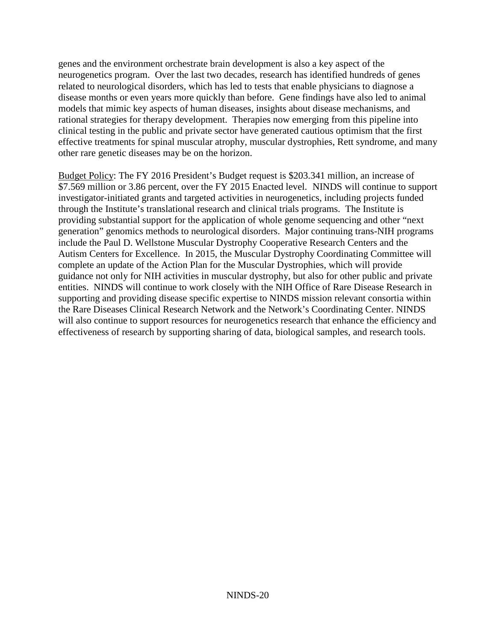genes and the environment orchestrate brain development is also a key aspect of the neurogenetics program. Over the last two decades, research has identified hundreds of genes related to neurological disorders, which has led to tests that enable physicians to diagnose a disease months or even years more quickly than before. Gene findings have also led to animal models that mimic key aspects of human diseases, insights about disease mechanisms, and rational strategies for therapy development. Therapies now emerging from this pipeline into clinical testing in the public and private sector have generated cautious optimism that the first effective treatments for spinal muscular atrophy, muscular dystrophies, Rett syndrome, and many other rare genetic diseases may be on the horizon.

Budget Policy: The FY 2016 President's Budget request is \$203.341 million, an increase of \$7.569 million or 3.86 percent, over the FY 2015 Enacted level. NINDS will continue to support investigator-initiated grants and targeted activities in neurogenetics, including projects funded through the Institute's translational research and clinical trials programs. The Institute is providing substantial support for the application of whole genome sequencing and other "next generation" genomics methods to neurological disorders. Major continuing trans-NIH programs include the Paul D. Wellstone Muscular Dystrophy Cooperative Research Centers and the Autism Centers for Excellence. In 2015, the Muscular Dystrophy Coordinating Committee will complete an update of the Action Plan for the Muscular Dystrophies, which will provide guidance not only for NIH activities in muscular dystrophy, but also for other public and private entities. NINDS will continue to work closely with the NIH Office of Rare Disease Research in supporting and providing disease specific expertise to NINDS mission relevant consortia within the Rare Diseases Clinical Research Network and the Network's Coordinating Center. NINDS will also continue to support resources for neurogenetics research that enhance the efficiency and effectiveness of research by supporting sharing of data, biological samples, and research tools.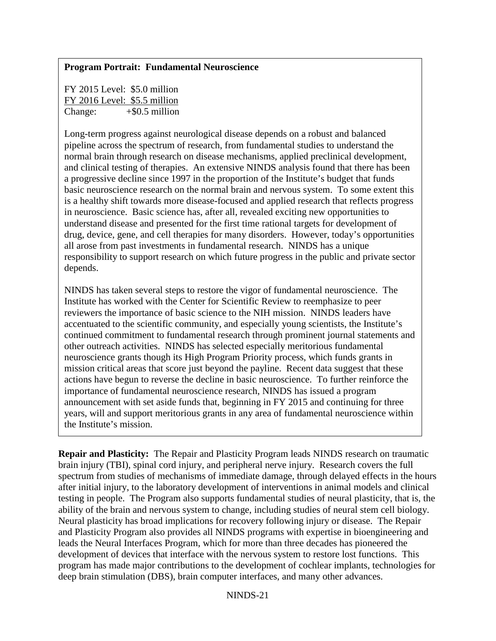## **Program Portrait: Fundamental Neuroscience**

FY 2015 Level: \$5.0 million FY 2016 Level: \$5.5 million Change:  $+$ \$0.5 million

Long-term progress against neurological disease depends on a robust and balanced pipeline across the spectrum of research, from fundamental studies to understand the normal brain through research on disease mechanisms, applied preclinical development, and clinical testing of therapies. An extensive NINDS analysis found that there has been a progressive decline since 1997 in the proportion of the Institute's budget that funds basic neuroscience research on the normal brain and nervous system. To some extent this is a healthy shift towards more disease-focused and applied research that reflects progress in neuroscience. Basic science has, after all, revealed exciting new opportunities to understand disease and presented for the first time rational targets for development of drug, device, gene, and cell therapies for many disorders. However, today's opportunities all arose from past investments in fundamental research. NINDS has a unique responsibility to support research on which future progress in the public and private sector depends.

NINDS has taken several steps to restore the vigor of fundamental neuroscience. The Institute has worked with the Center for Scientific Review to reemphasize to peer reviewers the importance of basic science to the NIH mission. NINDS leaders have accentuated to the scientific community, and especially young scientists, the Institute's continued commitment to fundamental research through prominent journal statements and other outreach activities. NINDS has selected especially meritorious fundamental neuroscience grants though its High Program Priority process, which funds grants in mission critical areas that score just beyond the payline. Recent data suggest that these actions have begun to reverse the decline in basic neuroscience. To further reinforce the importance of fundamental neuroscience research, NINDS has issued a program announcement with set aside funds that, beginning in FY 2015 and continuing for three years, will and support meritorious grants in any area of fundamental neuroscience within the Institute's mission.

**Repair and Plasticity:** The Repair and Plasticity Program leads NINDS research on traumatic brain injury (TBI), spinal cord injury, and peripheral nerve injury. Research covers the full spectrum from studies of mechanisms of immediate damage, through delayed effects in the hours after initial injury, to the laboratory development of interventions in animal models and clinical testing in people. The Program also supports fundamental studies of neural plasticity, that is, the ability of the brain and nervous system to change, including studies of neural stem cell biology. Neural plasticity has broad implications for recovery following injury or disease. The Repair and Plasticity Program also provides all NINDS programs with expertise in bioengineering and leads the Neural Interfaces Program, which for more than three decades has pioneered the development of devices that interface with the nervous system to restore lost functions. This program has made major contributions to the development of cochlear implants, technologies for deep brain stimulation (DBS), brain computer interfaces, and many other advances.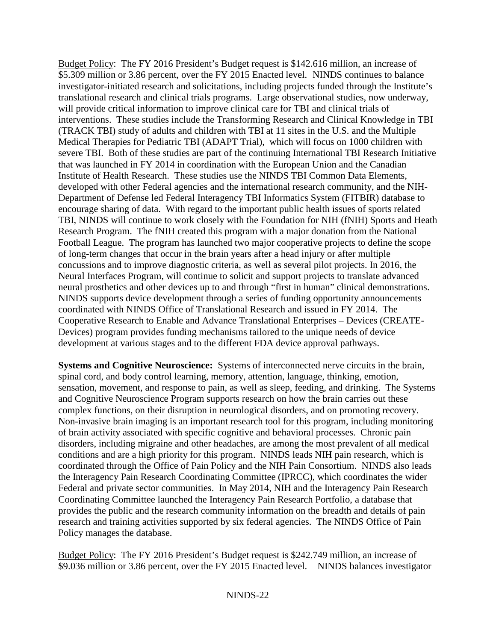Budget Policy: The FY 2016 President's Budget request is \$142.616 million, an increase of \$5.309 million or 3.86 percent, over the FY 2015 Enacted level. NINDS continues to balance investigator-initiated research and solicitations, including projects funded through the Institute's translational research and clinical trials programs. Large observational studies, now underway, will provide critical information to improve clinical care for TBI and clinical trials of interventions. These studies include the Transforming Research and Clinical Knowledge in TBI (TRACK TBI) study of adults and children with TBI at 11 sites in the U.S. and the Multiple Medical Therapies for Pediatric TBI (ADAPT Trial), which will focus on 1000 children with severe TBI. Both of these studies are part of the continuing International TBI Research Initiative that was launched in FY 2014 in coordination with the European Union and the Canadian Institute of Health Research. These studies use the NINDS TBI Common Data Elements, developed with other Federal agencies and the international research community, and the NIH-Department of Defense led Federal Interagency TBI Informatics System (FITBIR) database to encourage sharing of data. With regard to the important public health issues of sports related TBI, NINDS will continue to work closely with the Foundation for NIH (fNIH) Sports and Heath Research Program. The fNIH created this program with a major donation from the National Football League. The program has launched two major cooperative projects to define the scope of long-term changes that occur in the brain years after a head injury or after multiple concussions and to improve diagnostic criteria, as well as several pilot projects. In 2016, the Neural Interfaces Program, will continue to solicit and support projects to translate advanced neural prosthetics and other devices up to and through "first in human" clinical demonstrations. NINDS supports device development through a series of funding opportunity announcements coordinated with NINDS Office of Translational Research and issued in FY 2014. The Cooperative Research to Enable and Advance Translational Enterprises – Devices (CREATE-Devices) program provides funding mechanisms tailored to the unique needs of device development at various stages and to the different FDA device approval pathways.

**Systems and Cognitive Neuroscience:** Systems of interconnected nerve circuits in the brain, spinal cord, and body control learning, memory, attention, language, thinking, emotion, sensation, movement, and response to pain, as well as sleep, feeding, and drinking. The Systems and Cognitive Neuroscience Program supports research on how the brain carries out these complex functions, on their disruption in neurological disorders, and on promoting recovery. Non-invasive brain imaging is an important research tool for this program, including monitoring of brain activity associated with specific cognitive and behavioral processes. Chronic pain disorders, including migraine and other headaches, are among the most prevalent of all medical conditions and are a high priority for this program. NINDS leads NIH pain research, which is coordinated through the Office of Pain Policy and the NIH Pain Consortium. NINDS also leads the Interagency Pain Research Coordinating Committee (IPRCC), which coordinates the wider Federal and private sector communities. In May 2014, NIH and the Interagency Pain Research Coordinating Committee launched the Interagency Pain Research Portfolio, a database that provides the public and the research community information on the breadth and details of pain research and training activities supported by six federal agencies. The NINDS Office of Pain Policy manages the database.

Budget Policy: The FY 2016 President's Budget request is \$242.749 million, an increase of \$9.036 million or 3.86 percent, over the FY 2015 Enacted level. NINDS balances investigator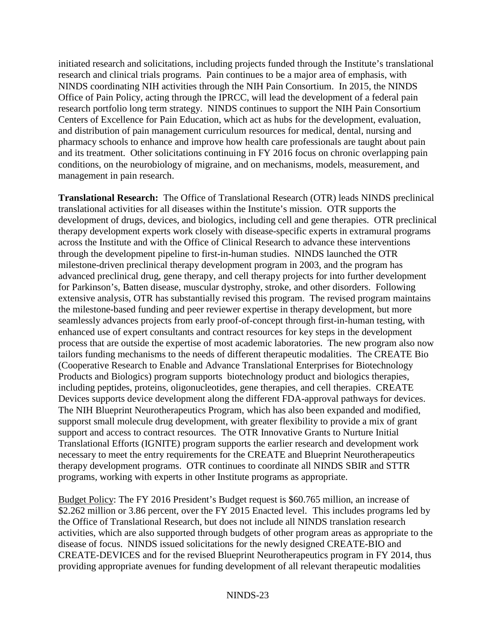initiated research and solicitations, including projects funded through the Institute's translational research and clinical trials programs. Pain continues to be a major area of emphasis, with NINDS coordinating NIH activities through the NIH Pain Consortium. In 2015, the NINDS Office of Pain Policy, acting through the IPRCC, will lead the development of a federal pain research portfolio long term strategy. NINDS continues to support the NIH Pain Consortium Centers of Excellence for Pain Education, which act as hubs for the development, evaluation, and distribution of pain management curriculum resources for medical, dental, nursing and pharmacy schools to enhance and improve how health care professionals are taught about pain and its treatment. Other solicitations continuing in FY 2016 focus on chronic overlapping pain conditions, on the neurobiology of migraine, and on mechanisms, models, measurement, and management in pain research.

**Translational Research:** The Office of Translational Research (OTR) leads NINDS preclinical translational activities for all diseases within the Institute's mission. OTR supports the development of drugs, devices, and biologics, including cell and gene therapies. OTR preclinical therapy development experts work closely with disease-specific experts in extramural programs across the Institute and with the Office of Clinical Research to advance these interventions through the development pipeline to first-in-human studies. NINDS launched the OTR milestone-driven preclinical therapy development program in 2003, and the program has advanced preclinical drug, gene therapy, and cell therapy projects for into further development for Parkinson's, Batten disease, muscular dystrophy, stroke, and other disorders. Following extensive analysis, OTR has substantially revised this program. The revised program maintains the milestone-based funding and peer reviewer expertise in therapy development, but more seamlessly advances projects from early proof-of-concept through first-in-human testing, with enhanced use of expert consultants and contract resources for key steps in the development process that are outside the expertise of most academic laboratories. The new program also now tailors funding mechanisms to the needs of different therapeutic modalities. The CREATE Bio (Cooperative Research to Enable and Advance Translational Enterprises for Biotechnology Products and Biologics) program supports biotechnology product and biologics therapies, including peptides, proteins, oligonucleotides, gene therapies, and cell therapies. CREATE Devices supports device development along the different FDA-approval pathways for devices. The NIH Blueprint Neurotherapeutics Program, which has also been expanded and modified, supporst small molecule drug development, with greater flexibility to provide a mix of grant support and access to contract resources. The OTR Innovative Grants to Nurture Initial Translational Efforts (IGNITE) program supports the earlier research and development work necessary to meet the entry requirements for the CREATE and Blueprint Neurotherapeutics therapy development programs. OTR continues to coordinate all NINDS SBIR and STTR programs, working with experts in other Institute programs as appropriate.

Budget Policy: The FY 2016 President's Budget request is \$60.765 million, an increase of \$2.262 million or 3.86 percent, over the FY 2015 Enacted level. This includes programs led by the Office of Translational Research, but does not include all NINDS translation research activities, which are also supported through budgets of other program areas as appropriate to the disease of focus. NINDS issued solicitations for the newly designed CREATE-BIO and CREATE-DEVICES and for the revised Blueprint Neurotherapeutics program in FY 2014, thus providing appropriate avenues for funding development of all relevant therapeutic modalities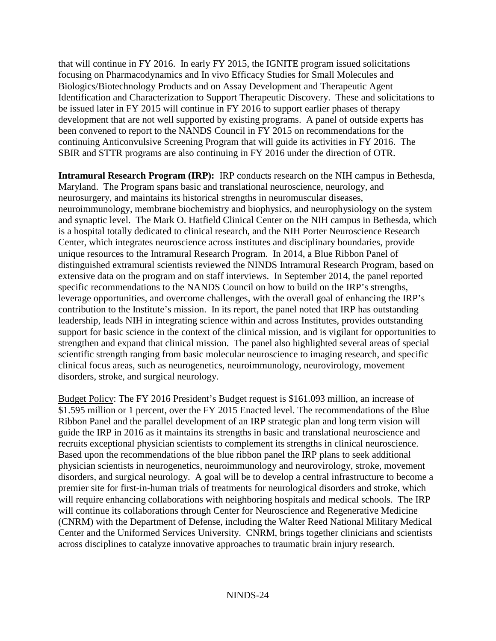that will continue in FY 2016. In early FY 2015, the IGNITE program issued solicitations focusing on Pharmacodynamics and In vivo Efficacy Studies for Small Molecules and Biologics/Biotechnology Products and on Assay Development and Therapeutic Agent Identification and Characterization to Support Therapeutic Discovery. These and solicitations to be issued later in FY 2015 will continue in FY 2016 to support earlier phases of therapy development that are not well supported by existing programs. A panel of outside experts has been convened to report to the NANDS Council in FY 2015 on recommendations for the continuing Anticonvulsive Screening Program that will guide its activities in FY 2016. The SBIR and STTR programs are also continuing in FY 2016 under the direction of OTR.

**Intramural Research Program (IRP):** IRP conducts research on the NIH campus in Bethesda, Maryland. The Program spans basic and translational neuroscience, neurology, and neurosurgery, and maintains its historical strengths in neuromuscular diseases, neuroimmunology, membrane biochemistry and biophysics, and neurophysiology on the system and synaptic level. The Mark O. Hatfield Clinical Center on the NIH campus in Bethesda, which is a hospital totally dedicated to clinical research, and the NIH Porter Neuroscience Research Center, which integrates neuroscience across institutes and disciplinary boundaries, provide unique resources to the Intramural Research Program. In 2014, a Blue Ribbon Panel of distinguished extramural scientists reviewed the NINDS Intramural Research Program, based on extensive data on the program and on staff interviews. In September 2014, the panel reported specific recommendations to the NANDS Council on how to build on the IRP's strengths, leverage opportunities, and overcome challenges, with the overall goal of enhancing the IRP's contribution to the Institute's mission. In its report, the panel noted that IRP has outstanding leadership, leads NIH in integrating science within and across Institutes, provides outstanding support for basic science in the context of the clinical mission, and is vigilant for opportunities to strengthen and expand that clinical mission. The panel also highlighted several areas of special scientific strength ranging from basic molecular neuroscience to imaging research, and specific clinical focus areas, such as neurogenetics, neuroimmunology, neurovirology, movement disorders, stroke, and surgical neurology.

Budget Policy: The FY 2016 President's Budget request is \$161.093 million, an increase of \$1.595 million or 1 percent, over the FY 2015 Enacted level. The recommendations of the Blue Ribbon Panel and the parallel development of an IRP strategic plan and long term vision will guide the IRP in 2016 as it maintains its strengths in basic and translational neuroscience and recruits exceptional physician scientists to complement its strengths in clinical neuroscience. Based upon the recommendations of the blue ribbon panel the IRP plans to seek additional physician scientists in neurogenetics, neuroimmunology and neurovirology, stroke, movement disorders, and surgical neurology. A goal will be to develop a central infrastructure to become a premier site for first-in-human trials of treatments for neurological disorders and stroke, which will require enhancing collaborations with neighboring hospitals and medical schools. The IRP will continue its collaborations through Center for Neuroscience and Regenerative Medicine (CNRM) with the Department of Defense, including the Walter Reed National Military Medical Center and the Uniformed Services University. CNRM, brings together clinicians and scientists across disciplines to catalyze innovative approaches to traumatic brain injury research.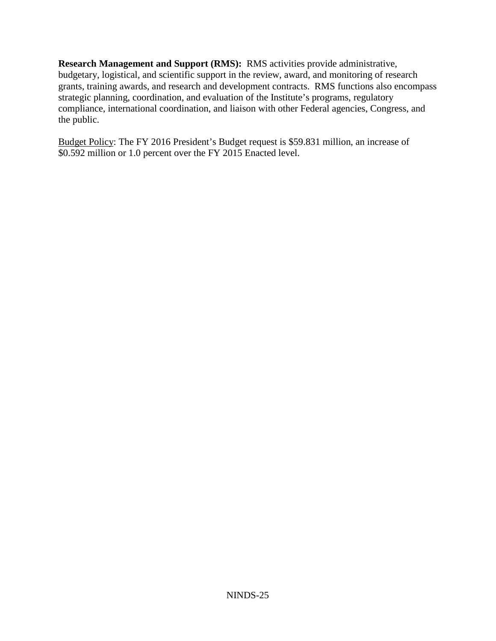**Research Management and Support (RMS):** RMS activities provide administrative, budgetary, logistical, and scientific support in the review, award, and monitoring of research grants, training awards, and research and development contracts. RMS functions also encompass strategic planning, coordination, and evaluation of the Institute's programs, regulatory compliance, international coordination, and liaison with other Federal agencies, Congress, and the public.

Budget Policy: The FY 2016 President's Budget request is \$59.831 million, an increase of \$0.592 million or 1.0 percent over the FY 2015 Enacted level.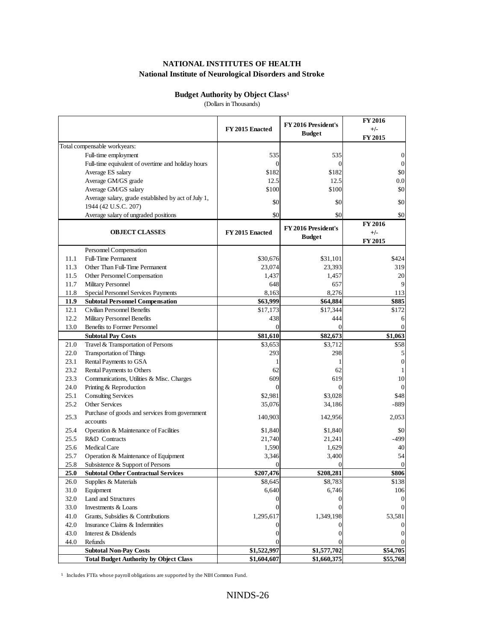# **Budget Authority by Object Class<sup>1</sup>**

(Dollars in Thousands)

|      |                                                     | FY 2015 Enacted | FY 2016 President's<br><b>Budget</b> | <b>FY 2016</b><br>$+/-$<br>FY 2015 |
|------|-----------------------------------------------------|-----------------|--------------------------------------|------------------------------------|
|      | Total compensable workyears:                        |                 |                                      |                                    |
|      | Full-time employment                                | 535             | 535                                  | 0                                  |
|      | Full-time equivalent of overtime and holiday hours  | 0               | $\overline{0}$                       | $\mathbf{0}$                       |
|      | Average ES salary                                   | \$182           | \$182                                | \$0                                |
|      | Average GM/GS grade                                 | 12.5            | 12.5                                 | 0.0                                |
|      | Average GM/GS salary                                | \$100           | \$100                                | \$0                                |
|      | Average salary, grade established by act of July 1, |                 |                                      |                                    |
|      | 1944 (42 U.S.C. 207)                                | \$0             | \$0                                  | \$0                                |
|      | Average salary of ungraded positions                | \$0             | \$0                                  | \$0                                |
|      |                                                     |                 | FY 2016 President's                  | <b>FY 2016</b>                     |
|      | <b>OBJECT CLASSES</b>                               | FY 2015 Enacted | <b>Budget</b>                        | $+/-$                              |
|      |                                                     |                 |                                      | FY 2015                            |
|      | Personnel Compensation                              |                 |                                      |                                    |
| 11.1 | <b>Full-Time Permanent</b>                          | \$30,676        | \$31,101                             | \$424                              |
| 11.3 | Other Than Full-Time Permanent                      | 23,074          | 23,393                               | 319                                |
| 11.5 | Other Personnel Compensation                        | 1,437           | 1,457                                | 20                                 |
| 11.7 | Military Personnel                                  | 648             | 657                                  | 9                                  |
| 11.8 | Special Personnel Services Payments                 | 8,163           | 8,276                                | 113                                |
| 11.9 | <b>Subtotal Personnel Compensation</b>              | \$63,999        | \$64,884                             | \$885                              |
| 12.1 | Civilian Personnel Benefits                         | \$17,173        | \$17,344                             | \$172                              |
| 12.2 | <b>Military Personnel Benefits</b>                  | 438             | 444                                  | 6                                  |
| 13.0 | <b>Benefits to Former Personnel</b>                 | $\Omega$        | $\Omega$                             | $\Omega$                           |
|      | <b>Subtotal Pay Costs</b>                           | \$81,610        | \$82,673                             | \$1,063                            |
| 21.0 | Travel & Transportation of Persons                  | \$3,653         | \$3,712                              | \$58                               |
| 22.0 | <b>Transportation of Things</b>                     | 293             | 298                                  | 5                                  |
| 23.1 | Rental Payments to GSA                              |                 | 1                                    | $\mathbf{0}$                       |
| 23.2 | Rental Payments to Others                           | 62              | 62                                   |                                    |
| 23.3 | Communications, Utilities & Misc. Charges           | 609             | 619                                  | 10                                 |
| 24.0 | Printing & Reproduction                             | $\overline{0}$  | $\Omega$                             |                                    |
| 25.1 | <b>Consulting Services</b>                          | \$2,981         | \$3,028                              | \$48                               |
| 25.2 | <b>Other Services</b>                               | 35,076          | 34,186                               | $-889$                             |
| 25.3 | Purchase of goods and services from government      | 140,903         | 142,956                              | 2,053                              |
|      | accounts                                            |                 |                                      |                                    |
| 25.4 | Operation & Maintenance of Facilities               | \$1,840         | \$1,840                              | \$0                                |
| 25.5 | R&D Contracts                                       | 21,740          | 21,241                               | $-499$                             |
| 25.6 | Medical Care                                        | 1,590           | 1,629                                | 40                                 |
| 25.7 | Operation & Maintenance of Equipment                | 3,346           | 3,400                                | 54                                 |
| 25.8 | Subsistence & Support of Persons                    |                 | $\Omega$                             | $\Omega$                           |
| 25.0 | <b>Subtotal Other Contractual Services</b>          | \$207,476       | \$208,281                            | \$806                              |
| 26.0 | Supplies & Materials                                | \$8,645         | \$8,783                              | \$138                              |
| 31.0 | Equipment                                           | 6,640           | 6,746                                | 106                                |
| 32.0 | Land and Structures                                 |                 | $\overline{0}$                       |                                    |
| 33.0 | Investments & Loans                                 |                 |                                      |                                    |
| 41.0 | Grants, Subsidies & Contributions                   | 1,295,617       | 1,349,198                            | 53,581                             |
| 42.0 | Insurance Claims & Indemnities                      | 0               |                                      |                                    |
| 43.0 | Interest & Dividends                                | 0               |                                      |                                    |
| 44.0 | Refunds                                             |                 |                                      |                                    |
|      | <b>Subtotal Non-Pay Costs</b>                       | \$1,522,997     | \$1,577,702                          | \$54,705                           |
|      | <b>Total Budget Authority by Object Class</b>       | \$1,604,607     | \$1,660,375                          | \$55,768                           |

<sup>1</sup> Includes FTEs whose payroll obligations are supported by the NIH Common Fund.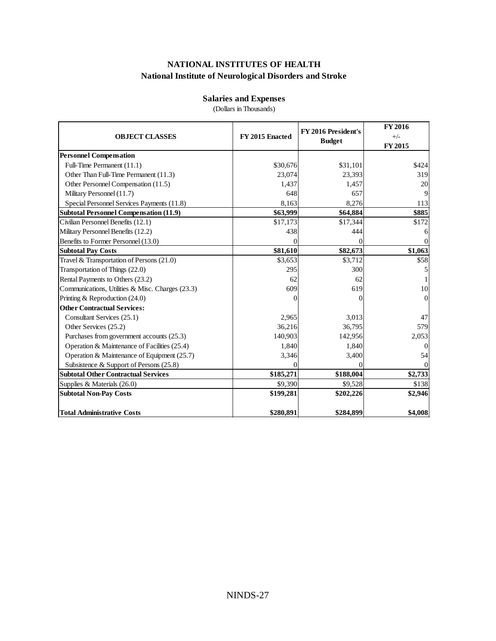### **Salaries and Expenses**

(Dollars in Thousands)

| <b>OBJECT CLASSES</b>                            | FY 2015 Enacted | FY 2016 President's<br><b>Budget</b> | FY 2016<br>$+/-$<br>FY 2015 |
|--------------------------------------------------|-----------------|--------------------------------------|-----------------------------|
| <b>Personnel Compensation</b>                    |                 |                                      |                             |
| Full-Time Permanent (11.1)                       | \$30,676        | \$31,101                             | \$424                       |
| Other Than Full-Time Permanent (11.3)            | 23,074          | 23,393                               | 319                         |
| Other Personnel Compensation (11.5)              | 1,437           | 1,457                                | 20                          |
| Military Personnel (11.7)                        | 648             | 657                                  | 9                           |
| Special Personnel Services Payments (11.8)       | 8,163           | 8,276                                | 113                         |
| <b>Subtotal Personnel Compensation (11.9)</b>    | \$63,999        | \$64,884                             | \$885                       |
| Civilian Personnel Benefits (12.1)               | \$17,173        | \$17,344                             | \$172                       |
| Military Personnel Benefits (12.2)               | 438             | 444                                  | 6                           |
| Benefits to Former Personnel (13.0)              | 0               |                                      | 0                           |
| <b>Subtotal Pay Costs</b>                        | \$81,610        | \$82,673                             | \$1,063                     |
| Travel & Transportation of Persons (21.0)        | \$3,653         | \$3,712                              | \$58                        |
| Transportation of Things (22.0)                  | 295             | 300                                  |                             |
| Rental Payments to Others (23.2)                 | 62              | 62                                   |                             |
| Communications, Utilities & Misc. Charges (23.3) | 609             | 619                                  | 10                          |
| Printing & Reproduction (24.0)                   |                 |                                      | $\Omega$                    |
| <b>Other Contractual Services:</b>               |                 |                                      |                             |
| Consultant Services (25.1)                       | 2,965           | 3,013                                | 47                          |
| Other Services (25.2)                            | 36,216          | 36,795                               | 579                         |
| Purchases from government accounts (25.3)        | 140,903         | 142,956                              | 2,053                       |
| Operation & Maintenance of Facilities (25.4)     | 1,840           | 1,840                                | $\Omega$                    |
| Operation & Maintenance of Equipment (25.7)      | 3,346           | 3,400                                | 54                          |
| Subsistence & Support of Persons (25.8)          | 0               |                                      |                             |
| <b>Subtotal Other Contractual Services</b>       | \$185,271       | \$188,004                            | \$2,733                     |
| Supplies & Materials (26.0)                      | \$9,390         | \$9,528                              | \$138                       |
| <b>Subtotal Non-Pay Costs</b>                    | \$199,281       | \$202,226                            | \$2,946                     |
| Total Administrative Costs                       | \$280,891       | \$284,899                            | \$4,008                     |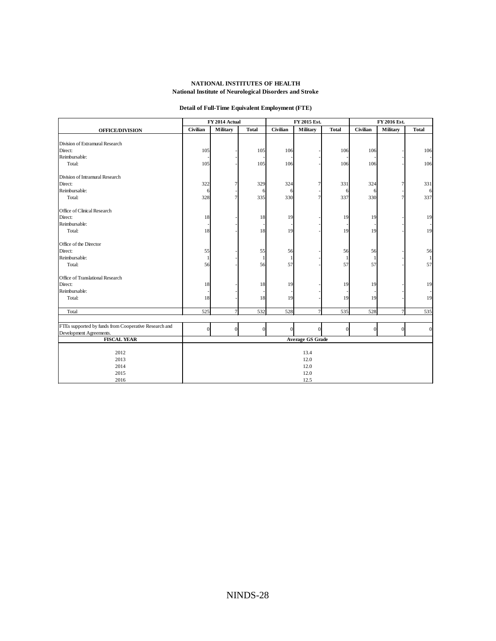### **Detail of Full-Time Equivalent Employment (FTE)**

|                                                       | FY 2014 Actual |                 | FY 2015 Est.   |                |                         | FY 2016 Est. |                 |                |              |
|-------------------------------------------------------|----------------|-----------------|----------------|----------------|-------------------------|--------------|-----------------|----------------|--------------|
| <b>OFFICE/DIVISION</b>                                | Civilian       | <b>Military</b> | <b>Total</b>   | Civilian       | Military                | <b>Total</b> | <b>Civilian</b> | Military       | <b>Total</b> |
|                                                       |                |                 |                |                |                         |              |                 |                |              |
| Division of Extramural Research                       |                |                 |                |                |                         |              |                 |                |              |
| Direct:                                               | 105            |                 | 105            | 106            |                         | 106          | 106             |                | 106          |
| Reimbursable:                                         |                |                 |                |                |                         |              |                 |                |              |
| Total:                                                | 105            |                 | 105            | 106            |                         | 106          | 106             |                | 106          |
| Division of Intramural Research                       |                |                 |                |                |                         |              |                 |                |              |
| Direct:                                               | 322            | 7               | 329            | 324            | 7                       | 331          | 324             | 7              | 331          |
| Reimbursable:                                         | 6              |                 | 6              | 6              |                         | 6            | 6               |                | 6            |
| Total:                                                | 328            | 7               | 335            | 330            | $\overline{7}$          | 337          | 330             | $\overline{7}$ | 337          |
| Office of Clinical Research                           |                |                 |                |                |                         |              |                 |                |              |
| Direct:                                               | 18             |                 | 18             | 19             |                         | 19           | 19              |                | 19           |
| Reimbursable:                                         |                |                 |                |                |                         |              |                 |                |              |
| Total:                                                | 18             |                 | 18             | 19             |                         | 19           | 19              |                | 19           |
| Office of the Director                                |                |                 |                |                |                         |              |                 |                |              |
| Direct:                                               | 55             |                 | 55             | 56             |                         | 56           | 56              |                | 56           |
| Reimbursable:                                         | 1              |                 | 1              | $\mathbf{1}$   |                         | $\mathbf{1}$ | 1               |                | $\mathbf{1}$ |
| Total:                                                | 56             |                 | 56             | 57             |                         | 57           | 57              |                | 57           |
| Office of Translational Research                      |                |                 |                |                |                         |              |                 |                |              |
| Direct:                                               | 18             |                 | 18             | 19             |                         | 19           | 19              |                | 19           |
| Reimbursable:                                         |                |                 |                |                |                         |              |                 |                |              |
| Total:                                                | 18             |                 | 18             | 19             |                         | 19           | 19              |                | 19           |
| Total                                                 | 525            | $\overline{7}$  | 532            | 528            | $\overline{7}$          | 535          | 528             | $\overline{7}$ | 535          |
|                                                       |                |                 |                |                |                         |              |                 |                |              |
| FTEs supported by funds from Cooperative Research and | $\overline{0}$ | $\overline{0}$  | $\overline{0}$ | $\overline{0}$ | $\overline{0}$          | $\theta$     | $\overline{0}$  | $\mathbf{0}$   | $\mathbf{0}$ |
| Development Agreements.                               |                |                 |                |                |                         |              |                 |                |              |
| <b>FISCAL YEAR</b>                                    |                |                 |                |                | <b>Average GS Grade</b> |              |                 |                |              |
| 2012                                                  |                |                 |                |                |                         |              |                 |                |              |
|                                                       | 13.4           |                 |                |                |                         |              |                 |                |              |
| 2013                                                  | 12.0           |                 |                |                |                         |              |                 |                |              |
| 2014<br>2015                                          |                |                 |                |                | 12.0<br>12.0            |              |                 |                |              |
|                                                       |                |                 |                |                |                         |              |                 |                |              |
| 2016                                                  |                |                 |                |                | 12.5                    |              |                 |                |              |